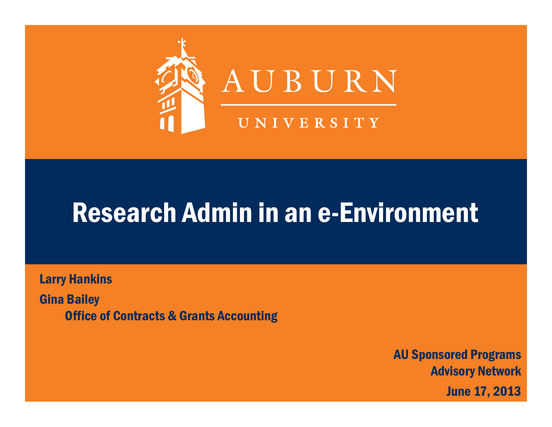

#### Research Admin in an e-Environment

Larry Hankins Gina Bailey Office of Contracts & Grants Accounting

> AU Sponsored Programs Advisory Network June 17, 2013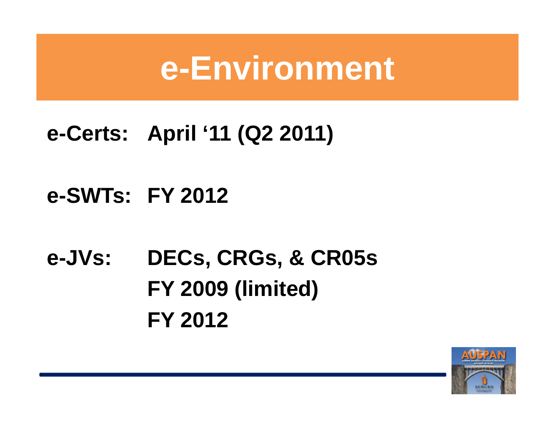### **e-Environment**

#### **e-Certs: April '11 (Q2 2011)**

#### **e-SWTs: FY 2012**

### **e-JVs: DECs, CRGs, & CR05s FY 2009 (limited) FY 2012**

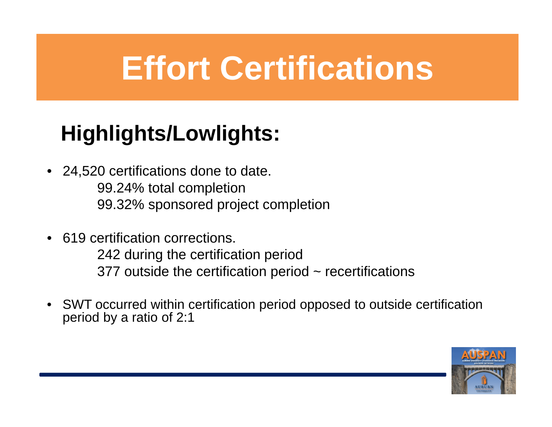## **Effort Certifications**

#### **Highlights/Lowlights:**

- $\bullet$  24,520 certifications done to date. 99.24% total completion 99.32% sponsored project completion
- 619 certification corrections.

242 during the certification period 377 outside the certification period  $\sim$  recertifications

 $\bullet$  SWT occurred within certification period opposed to outside certification period by a ratio of 2:1

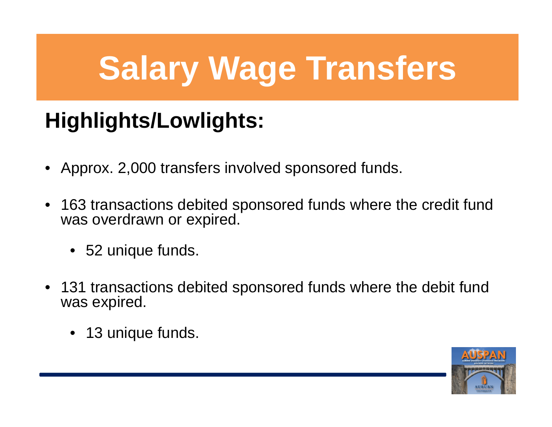# **Salary Wage Transfers**

#### **Highlights/Lowlights:**

- •Approx. 2,000 transfers involved sponsored funds.
- $\bullet$  163 transactions debited sponsored funds where the credit fund was overdrawn or expired.
	- 52 unique funds.
- 131 transactions debited sponsored funds where the debit fund was expired.
	- 13 unique funds.

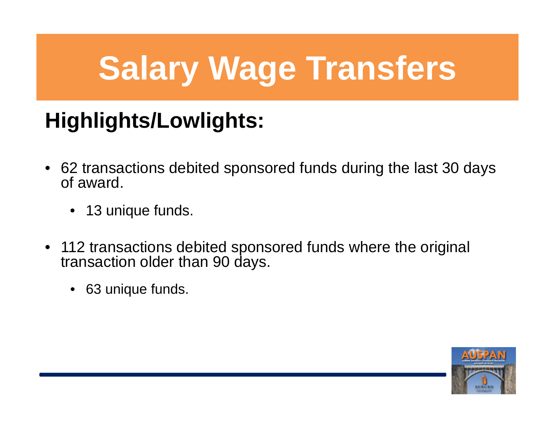# **Salary Wage Transfers**

#### **Highlights/Lowlights:**

- 62 transactions debited sponsored funds during the last 30 days of award.
	- 13 unique funds.
- 112 transactions debited sponsored funds where the original transaction older than 90 days.
	- 63 unique funds.

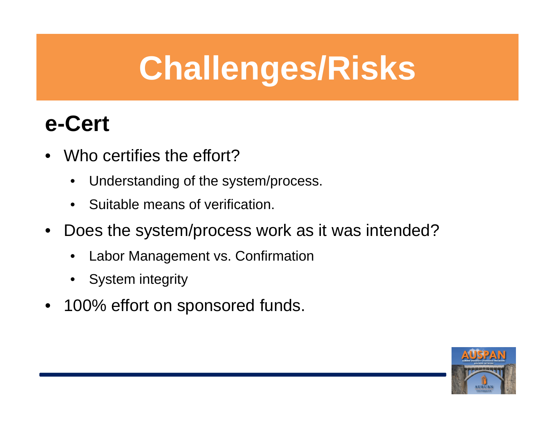## **Challenges/Risks**

#### **e-Cert**

- • Who certifies the effort?
	- $\bullet$ Understanding of the system/process.
	- •Suitable means of verification.
- • Does the system/process work as it was intended?
	- •Labor Management vs. Confirmation
	- •System integrity
- $\bullet$ 100% effort on sponsored funds.

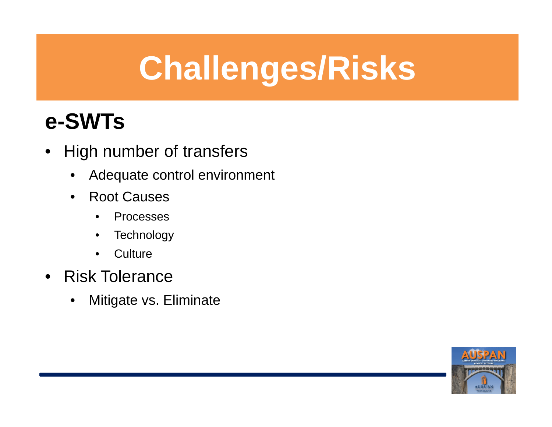## **Challenges/Risks**

#### **e-SWTs**

- High number of transfers
	- $\bullet$ Adequate control environment
	- Root Causes
		- •Processes
		- •**Technology**
		- $\bullet$ **Culture**
- Risk Tolerance
	- $\bullet$ Mitigate vs. Eliminate

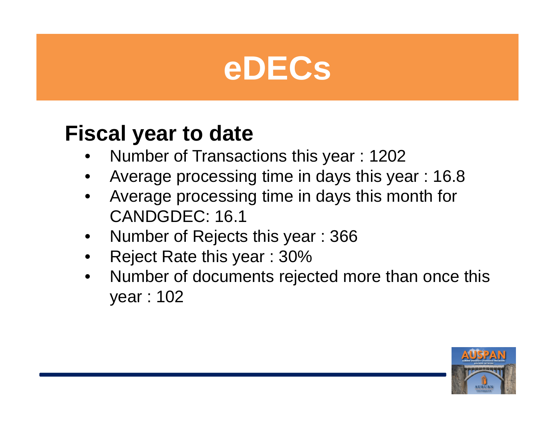

#### **Fiscal year to date**

- •Number of Transactions this year : 1202
- •Average processing time in days this year : 16.8
- • Average processing time in days this month for CANDGDEC: 16.1
- •Number of Rejects this year : 366
- •Reject Rate this year : 30%
- • Number of documents rejected more than once this year : 102

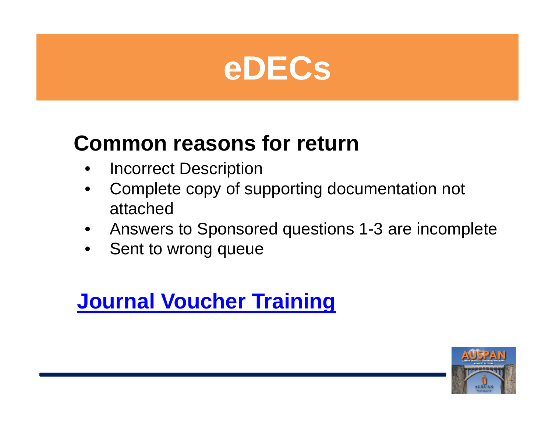

#### **Common reasons for return**

- $\bullet$ Incorrect Description
- $\bullet$  Complete copy of supporting documentation not attached
- •Answers to Sponsored questions 1-3 are incomplete
- $\bullet$ Sent to wrong queue

#### **Journal Voucher Training**

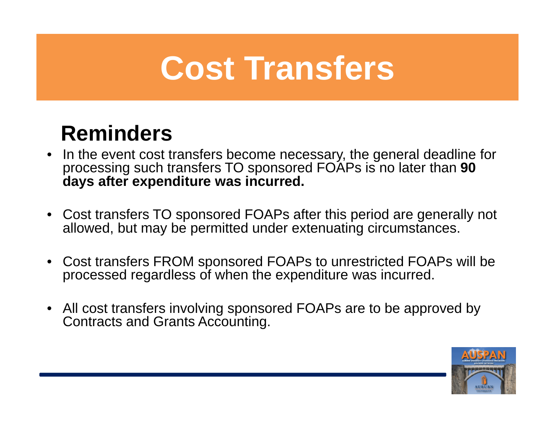## **Cost Transfers**

#### **Reminders**

- $\bullet$  In the event cost transfers become necessary, the general deadline for processing such transfers TO sponsored FOAPs is no later than **90 days after expenditure was incurred.**
- Cost transfers TO sponsored FOAPs after this period are generally not allowed, but may be permitted under extenuating circumstances.
- Cost transfers FROM sponsored FOAPs to unrestricted FOAPs will be processed regardless of when the expenditure was incurred.
- All cost transfers involving sponsored FOAPs are to be approved by Contracts and Grants Accounting.

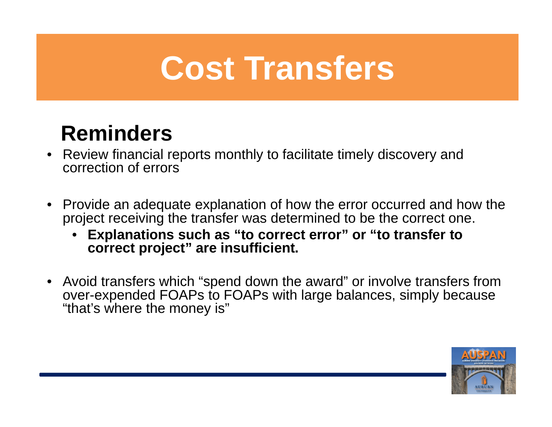## **Cost Transfers**

#### **Reminders**

- $\bullet$  Review financial reports monthly to facilitate timely discovery and correction of errors
- $\bullet$  Provide an adequate explanation of how the error occurred and how the project receiving the transfer was determined to be the correct one.
	- • **Explanations such as "to correct error" or "to transfer to correct project" are insufficient.**
- Avoid transfers which "spend down the award" or involve transfers from over-expended FOAPs to FOAPs with large balances, simply because "that's where the money is"